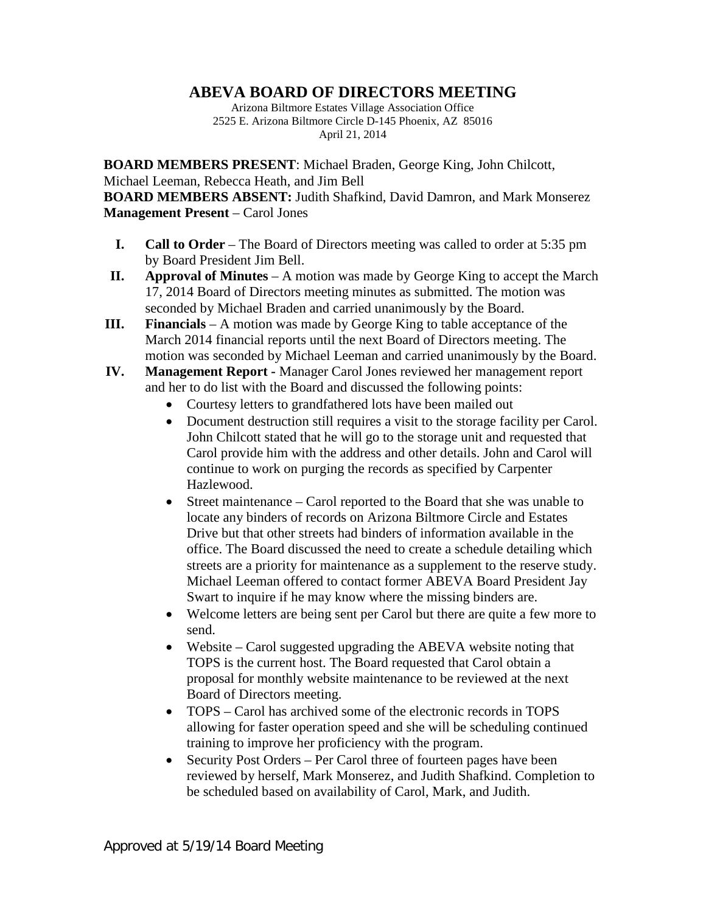## **ABEVA BOARD OF DIRECTORS MEETING**

Arizona Biltmore Estates Village Association Office 2525 E. Arizona Biltmore Circle D-145 Phoenix, AZ 85016 April 21, 2014

**BOARD MEMBERS PRESENT**: Michael Braden, George King, John Chilcott, Michael Leeman, Rebecca Heath, and Jim Bell **BOARD MEMBERS ABSENT:** Judith Shafkind, David Damron, and Mark Monserez **Management Present** – Carol Jones

- **I. Call to Order** The Board of Directors meeting was called to order at 5:35 pm by Board President Jim Bell.
- **II. Approval of Minutes** A motion was made by George King to accept the March 17, 2014 Board of Directors meeting minutes as submitted. The motion was seconded by Michael Braden and carried unanimously by the Board.
- **III. Financials** A motion was made by George King to table acceptance of the March 2014 financial reports until the next Board of Directors meeting. The motion was seconded by Michael Leeman and carried unanimously by the Board.
- **IV. Management Report -** Manager Carol Jones reviewed her management report and her to do list with the Board and discussed the following points:
	- Courtesy letters to grandfathered lots have been mailed out
	- Document destruction still requires a visit to the storage facility per Carol. John Chilcott stated that he will go to the storage unit and requested that Carol provide him with the address and other details. John and Carol will continue to work on purging the records as specified by Carpenter Hazlewood.
	- Street maintenance Carol reported to the Board that she was unable to locate any binders of records on Arizona Biltmore Circle and Estates Drive but that other streets had binders of information available in the office. The Board discussed the need to create a schedule detailing which streets are a priority for maintenance as a supplement to the reserve study. Michael Leeman offered to contact former ABEVA Board President Jay Swart to inquire if he may know where the missing binders are.
	- Welcome letters are being sent per Carol but there are quite a few more to send.
	- Website Carol suggested upgrading the ABEVA website noting that TOPS is the current host. The Board requested that Carol obtain a proposal for monthly website maintenance to be reviewed at the next Board of Directors meeting.
	- TOPS Carol has archived some of the electronic records in TOPS allowing for faster operation speed and she will be scheduling continued training to improve her proficiency with the program.
	- Security Post Orders Per Carol three of fourteen pages have been reviewed by herself, Mark Monserez, and Judith Shafkind. Completion to be scheduled based on availability of Carol, Mark, and Judith.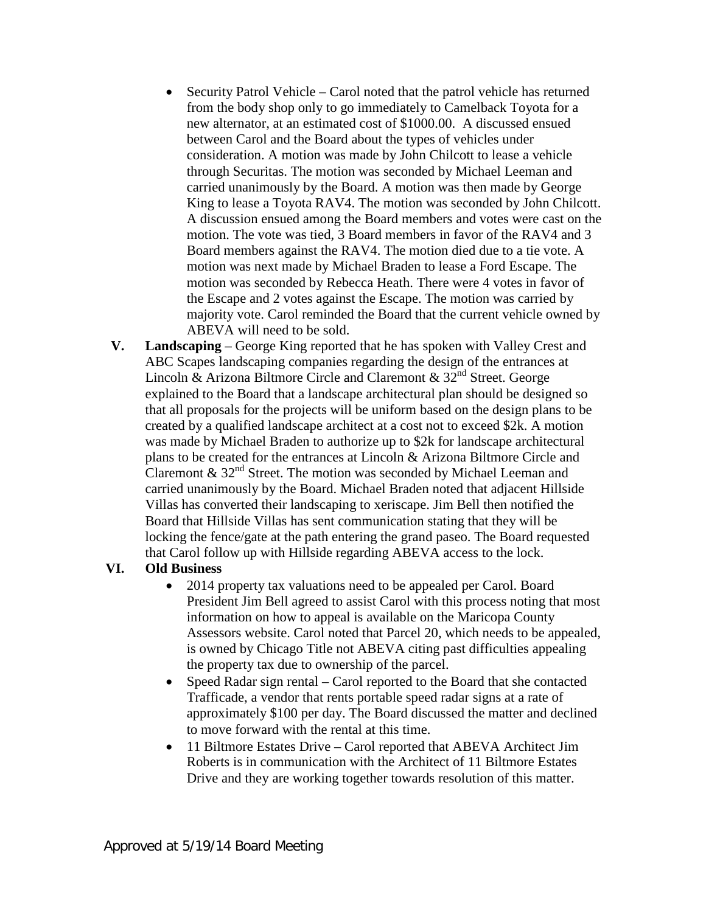- Security Patrol Vehicle Carol noted that the patrol vehicle has returned from the body shop only to go immediately to Camelback Toyota for a new alternator, at an estimated cost of \$1000.00. A discussed ensued between Carol and the Board about the types of vehicles under consideration. A motion was made by John Chilcott to lease a vehicle through Securitas. The motion was seconded by Michael Leeman and carried unanimously by the Board. A motion was then made by George King to lease a Toyota RAV4. The motion was seconded by John Chilcott. A discussion ensued among the Board members and votes were cast on the motion. The vote was tied, 3 Board members in favor of the RAV4 and 3 Board members against the RAV4. The motion died due to a tie vote. A motion was next made by Michael Braden to lease a Ford Escape. The motion was seconded by Rebecca Heath. There were 4 votes in favor of the Escape and 2 votes against the Escape. The motion was carried by majority vote. Carol reminded the Board that the current vehicle owned by ABEVA will need to be sold.
- **V. Landscaping** George King reported that he has spoken with Valley Crest and ABC Scapes landscaping companies regarding the design of the entrances at Lincoln & Arizona Biltmore Circle and Claremont &  $32^{nd}$  Street. George explained to the Board that a landscape architectural plan should be designed so that all proposals for the projects will be uniform based on the design plans to be created by a qualified landscape architect at a cost not to exceed \$2k. A motion was made by Michael Braden to authorize up to \$2k for landscape architectural plans to be created for the entrances at Lincoln & Arizona Biltmore Circle and Claremont  $\&$  32<sup>nd</sup> Street. The motion was seconded by Michael Leeman and carried unanimously by the Board. Michael Braden noted that adjacent Hillside Villas has converted their landscaping to xeriscape. Jim Bell then notified the Board that Hillside Villas has sent communication stating that they will be locking the fence/gate at the path entering the grand paseo. The Board requested that Carol follow up with Hillside regarding ABEVA access to the lock.

## **VI. Old Business**

- 2014 property tax valuations need to be appealed per Carol. Board President Jim Bell agreed to assist Carol with this process noting that most information on how to appeal is available on the Maricopa County Assessors website. Carol noted that Parcel 20, which needs to be appealed, is owned by Chicago Title not ABEVA citing past difficulties appealing the property tax due to ownership of the parcel.
- Speed Radar sign rental Carol reported to the Board that she contacted Trafficade, a vendor that rents portable speed radar signs at a rate of approximately \$100 per day. The Board discussed the matter and declined to move forward with the rental at this time.
- 11 Biltmore Estates Drive Carol reported that ABEVA Architect Jim Roberts is in communication with the Architect of 11 Biltmore Estates Drive and they are working together towards resolution of this matter.